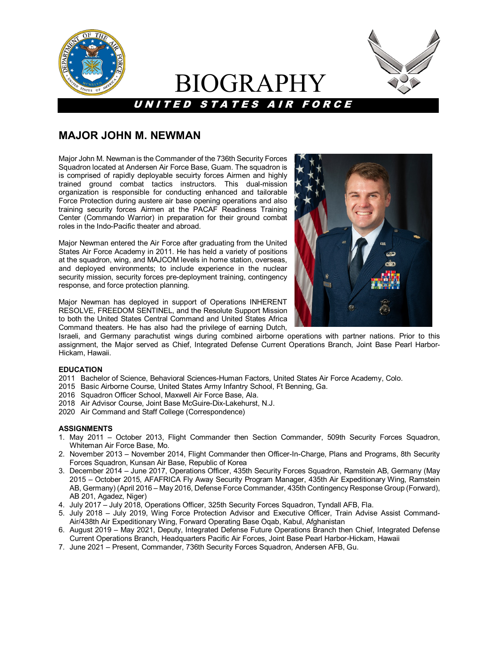

# BIOGRAPHY

UNITED STATES AIR FORCE



## **MAJOR JOHN M. NEWMAN**

Major John M. Newman is the Commander of the 736th Security Forces Squadron located at Andersen Air Force Base, Guam. The squadron is is comprised of rapidly deployable secuirty forces Airmen and highly trained ground combat tactics instructors. This dual-mission organization is responsible for conducting enhanced and tailorable Force Protection during austere air base opening operations and also training security forces Airmen at the PACAF Readiness Training Center (Commando Warrior) in preparation for their ground combat roles in the Indo-Pacific theater and abroad.

Major Newman entered the Air Force after graduating from the United States Air Force Academy in 2011. He has held a variety of positions at the squadron, wing, and MAJCOM levels in home station, overseas, and deployed environments; to include experience in the nuclear security mission, security forces pre-deployment training, contingency response, and force protection planning.

Major Newman has deployed in support of Operations INHERENT RESOLVE, FREEDOM SENTINEL, and the Resolute Support Mission to both the United States Central Command and United States Africa Command theaters. He has also had the privilege of earning Dutch,



Israeli, and Germany parachutist wings during combined airborne operations with partner nations. Prior to this assignment, the Major served as Chief, Integrated Defense Current Operations Branch, Joint Base Pearl Harbor-Hickam, Hawaii.

#### **EDUCATION**

- 2011 Bachelor of Science, Behavioral Sciences-Human Factors, United States Air Force Academy, Colo.
- 2015 Basic Airborne Course, United States Army Infantry School, Ft Benning, Ga.
- 2016 Squadron Officer School, Maxwell Air Force Base, Ala.
- 2018 Air Advisor Course, Joint Base McGuire-Dix-Lakehurst, N.J.
- 2020 Air Command and Staff College (Correspondence)

#### **ASSIGNMENTS**

- 1. May 2011 October 2013, Flight Commander then Section Commander, 509th Security Forces Squadron, Whiteman Air Force Base, Mo.
- 2. November 2013 November 2014, Flight Commander then Officer-In-Charge, Plans and Programs, 8th Security Forces Squadron, Kunsan Air Base, Republic of Korea
- 3. December 2014 June 2017, Operations Officer, 435th Security Forces Squadron, Ramstein AB, Germany (May 2015 – October 2015, AFAFRICA Fly Away Security Program Manager, 435th Air Expeditionary Wing, Ramstein AB, Germany) (April 2016 – May 2016, Defense Force Commander, 435th Contingency Response Group (Forward), AB 201, Agadez, Niger)
- 4. July 2017 July 2018, Operations Officer, 325th Security Forces Squadron, Tyndall AFB, Fla.
- 5. July 2018 July 2019, Wing Force Protection Advisor and Executive Officer, Train Advise Assist Command-Air/438th Air Expeditionary Wing, Forward Operating Base Oqab, Kabul, Afghanistan
- 6. August 2019 May 2021, Deputy, Integrated Defense Future Operations Branch then Chief, Integrated Defense Current Operations Branch, Headquarters Pacific Air Forces, Joint Base Pearl Harbor-Hickam, Hawaii
- 7. June 2021 Present, Commander, 736th Security Forces Squadron, Andersen AFB, Gu.